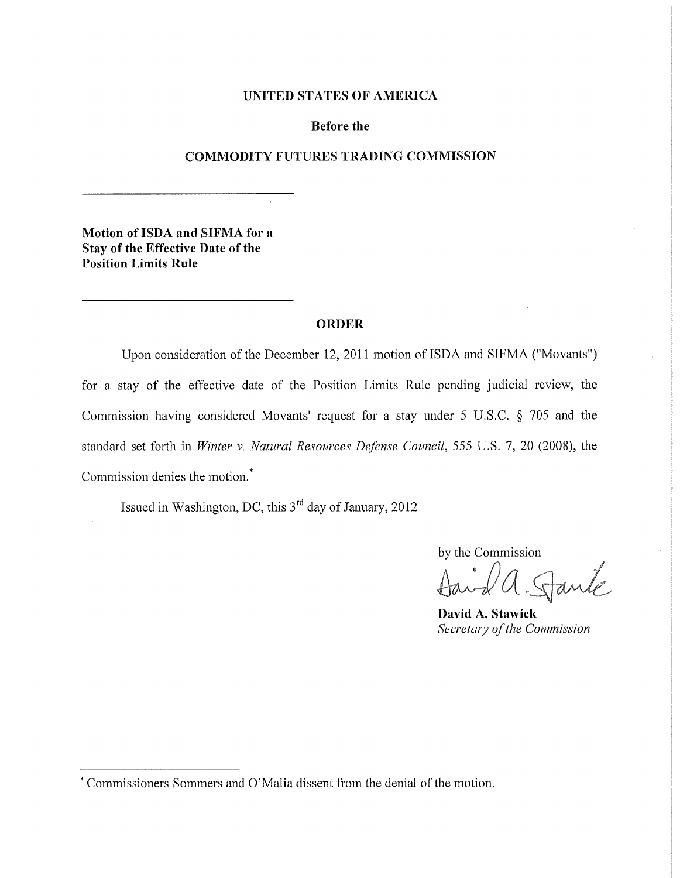### UNITED STATES OF AMERICA

#### Before the

### COMMODITY FUTURES TRADING COMMISSION

Motion of ISDA and SIFMA for a Stay of the Effective Date of the Position Limits Rule

#### ORDER

Upon consideration of the December 12, 2011 motion of ISDA and SIFMA ("Movants") for a stay of the effective date of the Position Limits Rule pending judicial review, the Commission having considered Movants' request for a stay under 5 U.S.C. § 705 and the standard set forth in *Winter* v. *Natural Resources Defense Council,* 555 U.S. 7, 20 (2008), the Commission denies the motion.\*

Issued in Washington, DC, this  $3<sup>rd</sup>$  day of January, 2012

by the Commission

 $\theta$  and  $\theta$ 

David A. Stawick *Secretary ofthe Commission*

<sup>\*</sup> Commissioners Sommers and O'Malia dissent from the denial of the motion.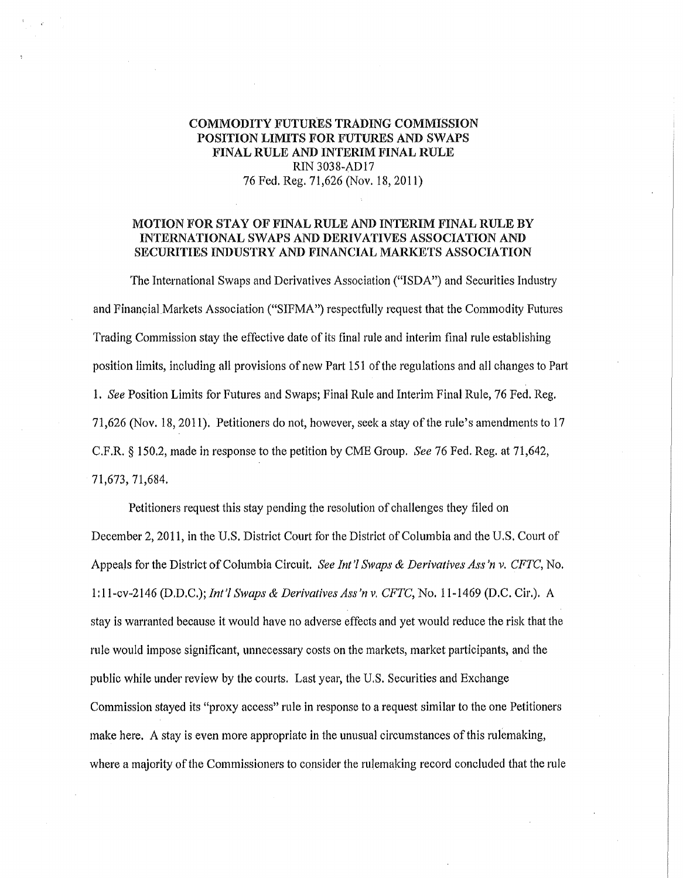### COMMODITY FUTURES TRADING COMMISSION POSITION LIMITS FOR FUTURES AND SWAPS FINAL RULE AND INTERIM FINAL RULE RIN 3038~AD17 76 Fed. Reg. 71,626 (Nov. 18,2011)

### MOTION FOR STAY OF FINAL RULE AND INTERIM FINAL RULE BY INTERNATIONAL SWAPS AND DERIVATIVES ASSOCIATION AND SECURITIES INDUSTRY AND FINANCIAL MARKETS ASSOCIATION

The International Swaps and Derivatives Association ("ISDN') and Securities Industry and Financial Markets Association ("SIFMA") respectfully request that the Commodity Futures Trading Commission stay the effective date of its final rule and interim final rule establishing position limits, including all provisions of new Part 151 ofthe regulations and all changes to Part *1. See* Position Limits for Futures and Swaps; Final Rule and Interim Final Rule, 76 Fed. Reg. 71,626 (Nov. 18, 2011). Petitioners do not, however, seek a stay of the rule's amendments to 17 C.F.R. § 150.2, made in response to the petition by CME Group. *See* 76 Fed. Reg. at 71,642, 71,673, 71,684.

Petitioners request this stay pending the resolution of challenges they filed on December 2, 2011, in the U.S. District Court for the District of Columbia and the U.S. Court of Appeals for the District ofColumbia Circuit. *See Int'l Swaps* & *Derivatives Ass'n* v. *CFTC,* No. 1:11~cv~2146 (D.D.C.); *Int'l Swaps* & *Derivatives Ass'n* v. *CFTC,* No. 11~1469 (D.C. Cir.). A stay is warranted because it would have no adverse effects and yet would reduce the risk that the rule would impose significant, unnecessary costs on the markets, market participants, and the public while under review by the courts. Last year, the U.S. Securities and Exchange Commission stayed its "proxy access" rule in response to a request similar to the one Petitioners make here. A stay is even more appropriate in the unusual circumstances ofthis rulemaking, where a majority of the Commissioners to consider the rulemaking record concluded that the rule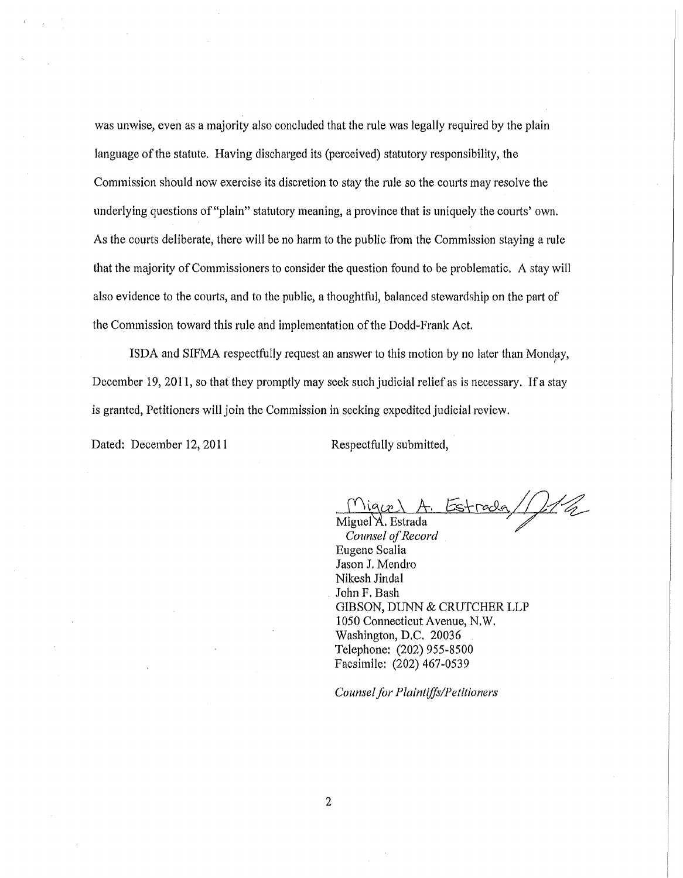was unwise, even as a majority also concluded that the rule was legally required by the plain language of the statute. Having discharged its (perceived) statutory responsibility, the Commission should now exercise its discretion to stay the rule so the courts may resolve the underlying questions of "plain" statutory meaning, a province that is uniquely the courts' own. As the courts deliberate, there will be no harm to the public from the Commission staying a rule that the majority of Commissioners to consider the question found to be problematic. A stay will also evidence to the courts, and to the public, a thoughtful, balanced stewardship on the part of the Commission toward this rule and implementation of the Dodd-Frank Act.

ISDA and SIFMA respectfully request an answer to this motion by no later than Monday, December 19, 2011, so that they promptly may seek such judicial relief as is necessary. If a stay is granted, Petitioners will join the Commission in seeking expedited judicial review.

Dated: December 12, 2011 Respectfully submitted,

 $Mig(x)$  A. Estrada////

**Counsel** of Record Eugene Scalia Jason J. Mendro Nikesh Jindal . John F. Bash GIBSON, DUNN & CRUTCHER LLP 1050 Connecticut Avenue, N.W. Washington, D.C. 20036 Telephone: (202) 955-8500 Facsimile: (202) 467-0539

*Counselfor Plaintiffs/Petitioners*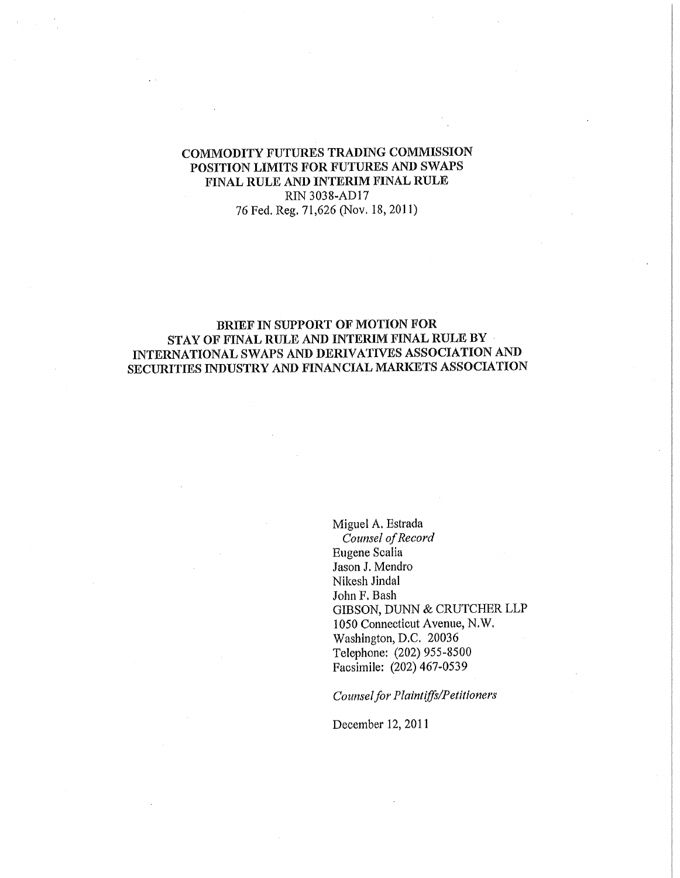### COMMODITY FUTURES TRADING COMMISSION POSITION LIMITS FOR FUTURES AND SWAPS FINAL RULE AND INTERIM FINAL RULE RIN 3038-AD17 76 Fed. Reg. 71,626 (Nov. 18,2011)

### BRIEF IN SUPPORT OF MOTION FOR STAY OF FINAL RULE AND INTERIM FINAL RULE BY INTERNATIONAL SWAPS AND DERIVATIVES ASSOCIATION AND SECURITIES INDUSTRY AND FINANCIAL MARKETS ASSOCIATION

Miguel A. Estrada *Counsel ofRecord* Eugene Scalia Jason J. Mendro Nikesh Jindal John F. Bash GIBSON, DUNN & CRUTCHER LLP 1050 Connecticut Avenue, N.W. Washington, D.C. 20036 Telephone: (202) 955-8500 Facsimile: (202) 467-0539

*Counselfor Plaintiffs/Petitioners*

December 12, 2011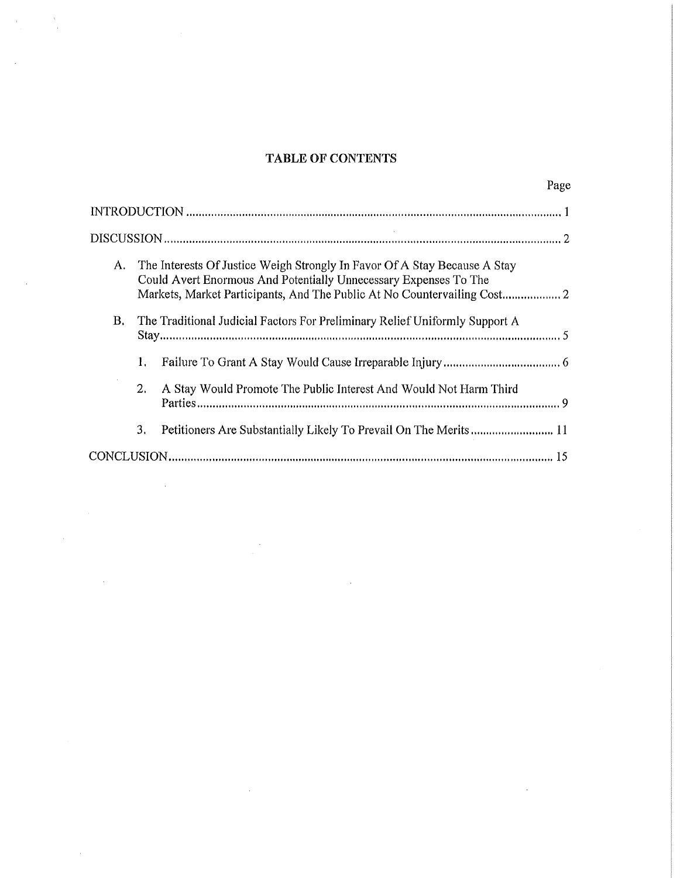# TABLE OF CONTENTS

|           |                                                                                                                                               | Page                                                                        |
|-----------|-----------------------------------------------------------------------------------------------------------------------------------------------|-----------------------------------------------------------------------------|
|           |                                                                                                                                               |                                                                             |
|           |                                                                                                                                               |                                                                             |
| A.        | The Interests Of Justice Weigh Strongly In Favor Of A Stay Because A Stay<br>Could Avert Enormous And Potentially Unnecessary Expenses To The |                                                                             |
| <b>B.</b> |                                                                                                                                               | The Traditional Judicial Factors For Preliminary Relief Uniformly Support A |
|           | 1.                                                                                                                                            |                                                                             |
|           | 2.                                                                                                                                            | A Stay Would Promote The Public Interest And Would Not Harm Third           |
|           | 3.                                                                                                                                            | Petitioners Are Substantially Likely To Prevail On The Merits  11           |
|           |                                                                                                                                               |                                                                             |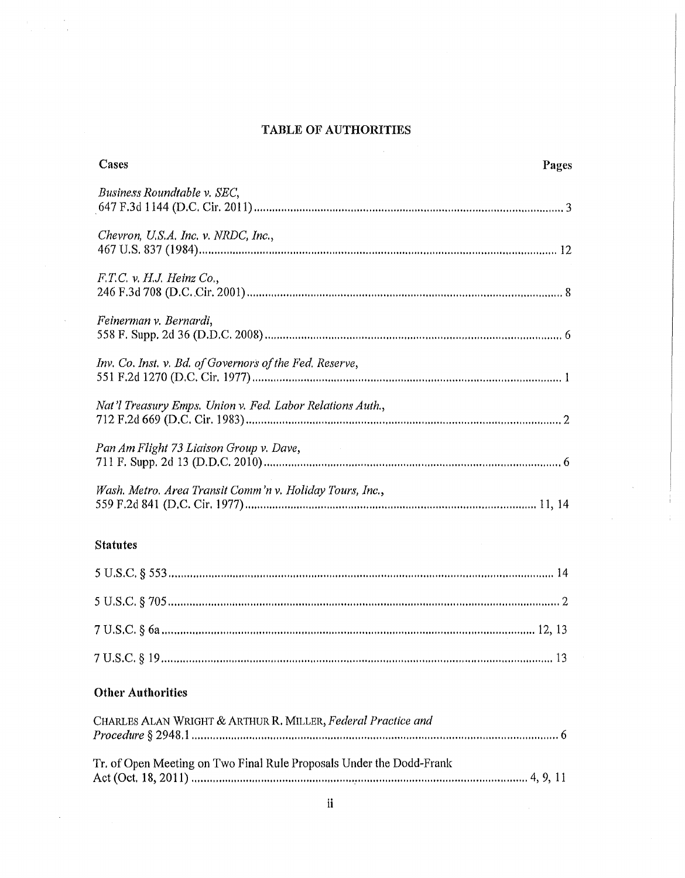# TABLE OF AUTHORITIES

 $\sim$  100

J.

 $\mathcal{L}$ 

| Cases                                                                | Pages |
|----------------------------------------------------------------------|-------|
| Business Roundtable v. SEC.                                          |       |
| Chevron, U.S.A. Inc. v. NRDC, Inc.,                                  |       |
| $F.T.C.$ v. H.J. Heinz $Co.$ ,                                       |       |
| Feinerman v. Bernardi,                                               |       |
| Inv. Co. Inst. v. Bd. of Governors of the Fed. Reserve,              |       |
| Nat'l Treasury Emps. Union v. Fed. Labor Relations Auth.,            |       |
| Pan Am Flight 73 Liaison Group v. Dave,                              |       |
| Wash. Metro. Area Transit Comm'n v. Holiday Tours, Inc.,             |       |
| <b>Statutes</b>                                                      |       |
|                                                                      |       |
|                                                                      |       |
|                                                                      |       |
|                                                                      |       |
| <b>Other Authorities</b>                                             |       |
| CHARLES ALAN WRIGHT & ARTHUR R. MILLER, Federal Practice and         |       |
| Tr. of Open Meeting on Two Final Rule Proposals Under the Dodd-Frank |       |
| ii                                                                   |       |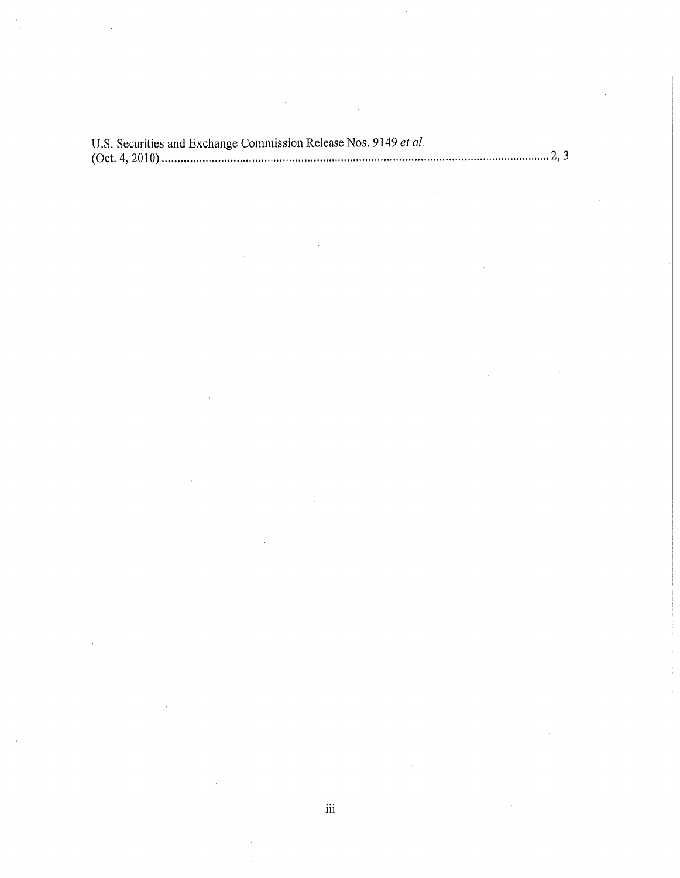| U.S. Securities and Exchange Commission Release Nos. 9149 et al. |  |
|------------------------------------------------------------------|--|
|                                                                  |  |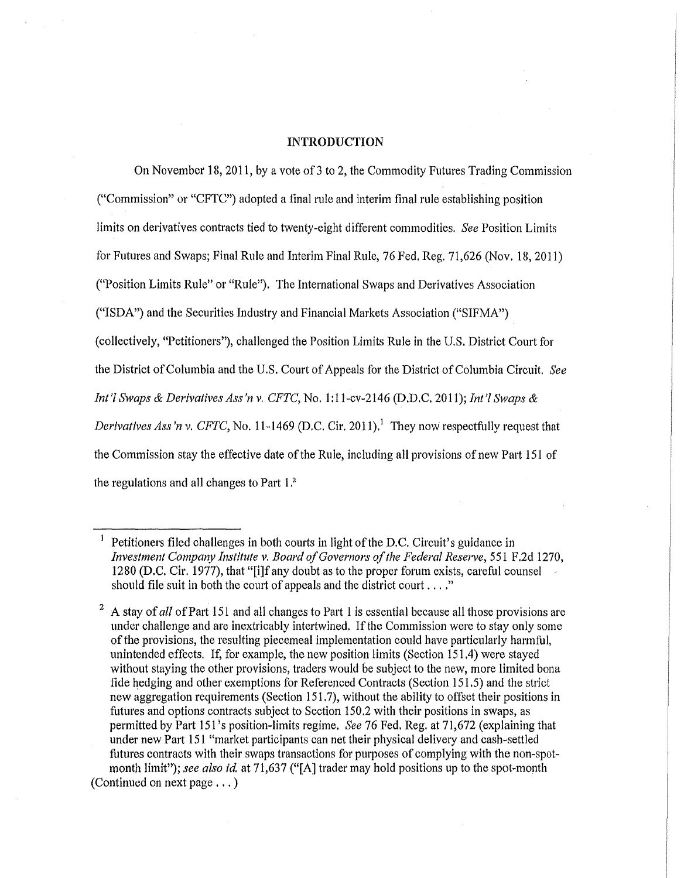### INTRODUCTION

On November 18, 2011, by a vote of 3 to 2, the Commodity Futures Trading Commission ("Commission" or "CFTC") adopted a final rule and interim final rule establishing position limits on derivatives contracts tied to twenty-eight different commodities. *See* Position Limits for Futures and Swaps; Final Rule and Interim Final Rule, 76 Fed, Reg. 71,626 (Nov. 18,2011) ("Position Limits Rule" or "Rule"). The International Swaps and Derivatives Association ("ISDN') and the Securities Industry and Financial Markets Association ("SIFMA") (collectively, "Petitioners"), challenged the Position Limits Rule in the U.S. District Court for the District of Columbia and the U.S. Court of Appeals for the District of Columbia Circuit, *See Int'l Swaps* & *Derivatives Ass'n v, CFTC,* No. 1:11~cv-2146 (D.D,C. 2011); *Int'! Swaps & Derivatives Ass'n v, CFTC, No.* 11-1469 (D.C. Cir. 2011).<sup>1</sup> They now respectfully request that the Commission stay the effective date of the Rule, including all provisions of new Part 151 of the regulations and all changes to Part 1,<sup>2</sup>

Petitioners filed challenges in both courts in light of the D.C. Circuit's guidance in *Investment Company Institute v. Board ofGovernors ofthe Federal Reserve,* 551 F.2d 1270, 1280 (D.C. Cir. 1977), that "[i]f any doubt as to the proper forum exists, careful counsel should file suit in both the court of appeals and the district court  $\dots$ ."

<sup>2</sup> A stay of*all* ofPart 151 and all changes to Part 1is essential because all those provisions are under challenge and are inextricably intertwined. If the Commission were to stay only some of the provisions, the resulting piecemeal implementation could have particularly harmful, unintended effects. If, for example, the new position limits (Section 151.4) were stayed without staying the other provisions, traders would be subject to the new, more limited bona fide hedging and other exemptions for Referenced Contracts (Section 151.5) and the strict new aggregation requirements (Section 151.7), without the ability to offset their positions in futures and options contracts subject to Section 150.2 with their positions in swaps, as permitted by Part 151 's position-limits regime. *See* 76 Fed. Reg. at 71,672 (explaining that under new Part 151 "market participants can net their physical delivery and cash-settled futures contracts with their swaps transactions for purposes of complying with the non-spotmonth limit"); see also *id.* at 71,637 ("[A] trader may hold positions up to the spot-month (Continued on next page ... )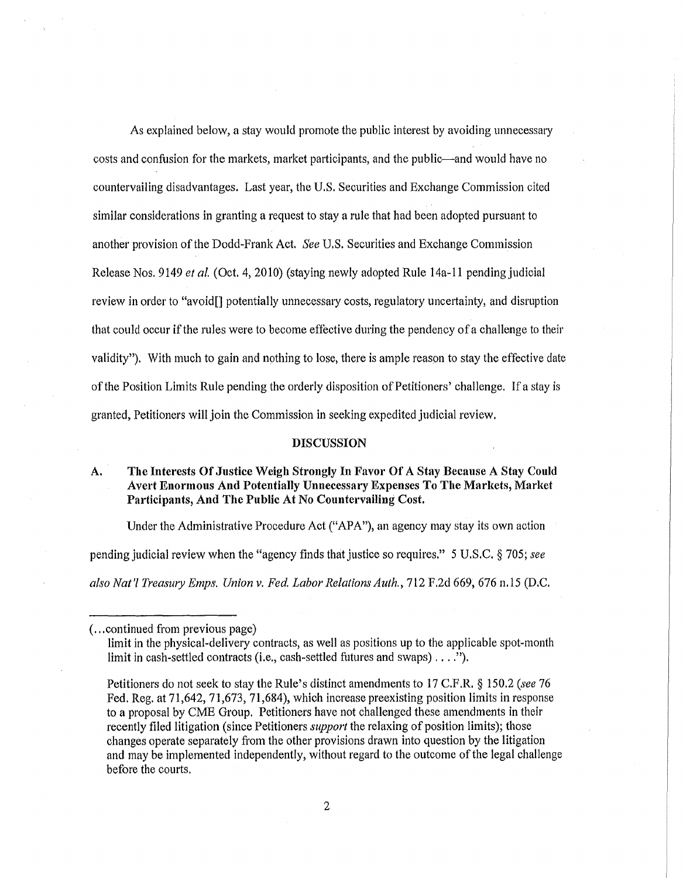As explained below, a stay would promote the public interest by avoiding unnecessary costs and confusion for the markets, market participants, and the public—and would have no countervailing disadvantages. Last year, the U.S. Securities and Exchange Commission cited similar considerations in granting a request to stay a rule that had been adopted pursuant to another provision ofthe Dodd-Frank Act. *See* U.S. Securities and Exchange Commission Release Nos. 9149 *et al.* (Oct. 4, 2010) (staying newly adopted Rule 14a-ll pending judicial review in order to "avoid[] potentially unnecessary costs, regulatory uncertainty, and disruption that could occur if the rules were to become effective during the pendency of a challenge to their validity"). With much to gain and nothing to lose, there is ample reason to stay the effective date of the Position Limits Rule pending the orderly disposition of Petitioners' challenge. If a stay is granted, Petitioners will join the Commission in seeking expedited judicial review.

#### DISCUSSION

### A. The Interests Of Justice Weigh Strongly In Favor Of A Stay Because A Stay Could Avert Enormous And Potentially Unnecessary Expenses To The Markets, Market Participants, And The Public At No Countervailing Cost.

Under the Administrative Procedure Act ("APA"), an agency may stay its own action pending judicial review when the "agency finds that justice so requires." 5 U.S.C. § 705; *see also Nat" Treasury Emps. Union v. Fed. Labor Relations Auth.,* 712 F.2d 669,676 n.l5 (D.C.

<sup>(...</sup>continued from previous page)

limit in the physical-delivery contracts, as well as positions up to the applicable spot-month limit in cash-settled contracts (Le., cash-settled futures and swaps) ....n).

Petitioners do not seek to stay the Rule's distinct amendments to 17 C.F.R. § 150.2 *(see 76* Fed. Reg. at 71,642, 71,673, 71,684), which increase preexisting position limits in response to a proposal by CME Group. Petitioners have not challenged these amendments in their recently filed litigation (since Petitioners *support* the relaxing of position limits); those changes operate separately from the other provisions drawn into question by the litigation and may be implemented independently, without regard to the outcome of the legal challenge before the courts.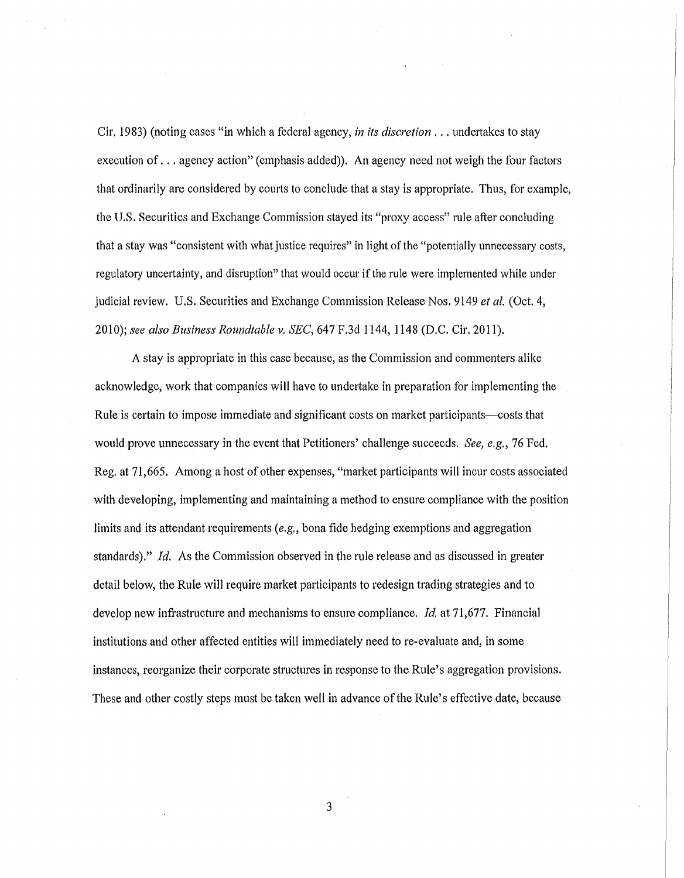Cir. 1983) (noting cases "in which a federal agency, *in its discretion .* .. undertakes to stay execution of... agency action" (emphasis added)). An agency need not weigh the four factors that ordinarily are considered by courts to conclude that a stay is appropriate. Thus, for example, the U.S. Securities and Exchange Commission stayed its "proxy access" rule after concluding that a stay was "consistent with what justice requires" in light of the "potentially unnecessary costs, regulatory uncertainty, and disruption" that would occur ifthe rule were implemented while under judicial review. U.S. Securities and Exchange Commission Release Nos. 9149 *et al.* (Oct. 4, *2010); see also Business Roundtable v. SEC,* 647 F.3d 1144, 1148 (D.C. Cir. 2011).

A stay is appropriate in this case because, as the Commission and commenters alike acknowledge, work that companies will have to undertake in preparation for implementing the Rule is certain to impose immediate and significant costs on market participants—costs that would prove unnecessary in the event that Petitioners' challenge succeeds. *See, e.g.,* 76 Fed. Reg. at 71,665. Among a host of other expenses, "market participants will incur costs associated with developing, implementing and maintaining a method to ensure compliance with the position limits and its attendant requirements *(e.g.,* bona fide hedging exemptions and aggregation standards)." *Id.* As the Commission observed in the rule release and as discussed in greater detail below, the Rule will require market participants to redesign trading strategies and to develop new infrastructure and mechanisms to ensure compliance. *Id.* at 71,677. Financial institutions and other affected entities will immediately need to re-evaluate and, in some instances, reorganize their corporate structures in response to the Rule's aggregation provisions. These and other costly steps must be taken well in advance ofthe Rule's effective date, because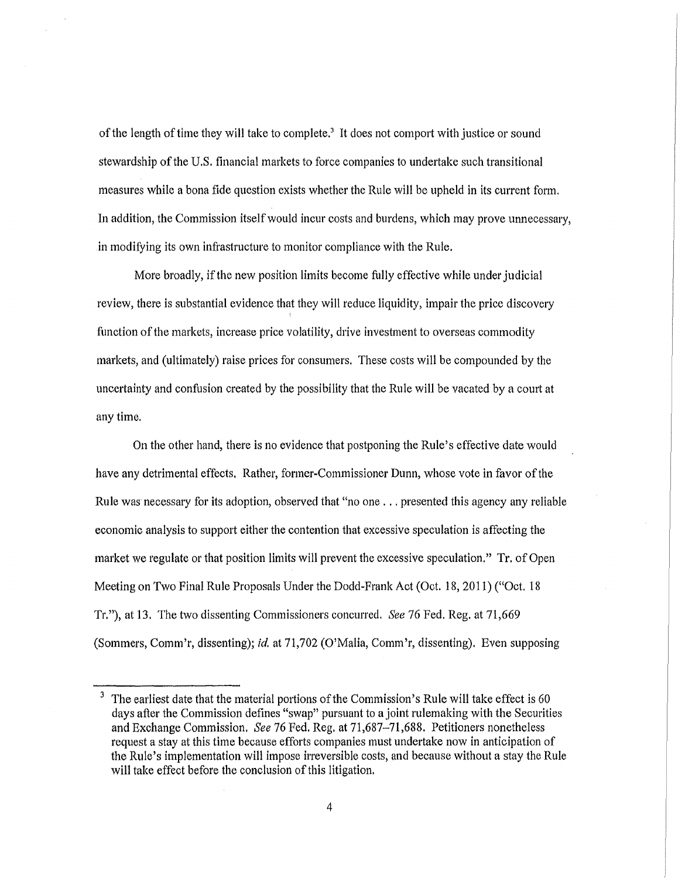of the length of time they will take to complete.<sup>3</sup> It does not comport with justice or sound stewardship of the U.S. financial markets to force companies to undertake such transitional measures while a bona fide question exists whether the Rule will be upheld in its current form. In addition, the Commission itselfwould incur costs and burdens, which may prove unnecessary, in modifying its own infrastructure to monitor compliance with the Rule.

More broadly, ifthe new position limits become fully effective while under judicial review, there is substantial evidence that they will reduce liquidity, impair the price discovery function of the markets, increase price volatility, drive investment to overseas commodity markets, and (ultimately) raise prices for consumers. These costs will be compounded by the uncertainty and confusion created by the possibility that the Rule will be vacated by a court at anytime.

On the other hand, there is no evidence that postponing the Rule's effective date would have any detrimental effects. Rather, former-Commissioner Dunn, whose vote in favor ofthe Rule was necessary for its adoption, observed that "no one ... presented this agency any reliable economic analysis to support either the contention that excessive speculation is affecting the market we regulate or that position limits will prevent the excessive speculation." Tr. of Open Meeting on Two Final Rule Proposals Under the Dodd-Frank Act (Oct. 18, 2011) ("Oct. 18 Tr."), at 13. The two dissenting Commissioners concurred. *See* 76 Fed. Reg. at 71,669 (Sommers, Comm'r, dissenting); *id.* at 71,702 (O'Malia, Comm'r, dissenting). Even supposing

 $3$  The earliest date that the material portions of the Commission's Rule will take effect is 60 days after the Commission defines "swap" pursuant to a joint rulemaking with the Securities and Exchange Commission. *See* 76 Fed. Reg. at 71,687-71,688. Petitioners nonetheless request a stay at this time because efforts companies must undertake now in anticipation of the Rule's implementation will impose irreversible costs, and because without a stay the Rule will take effect before the conclusion of this litigation.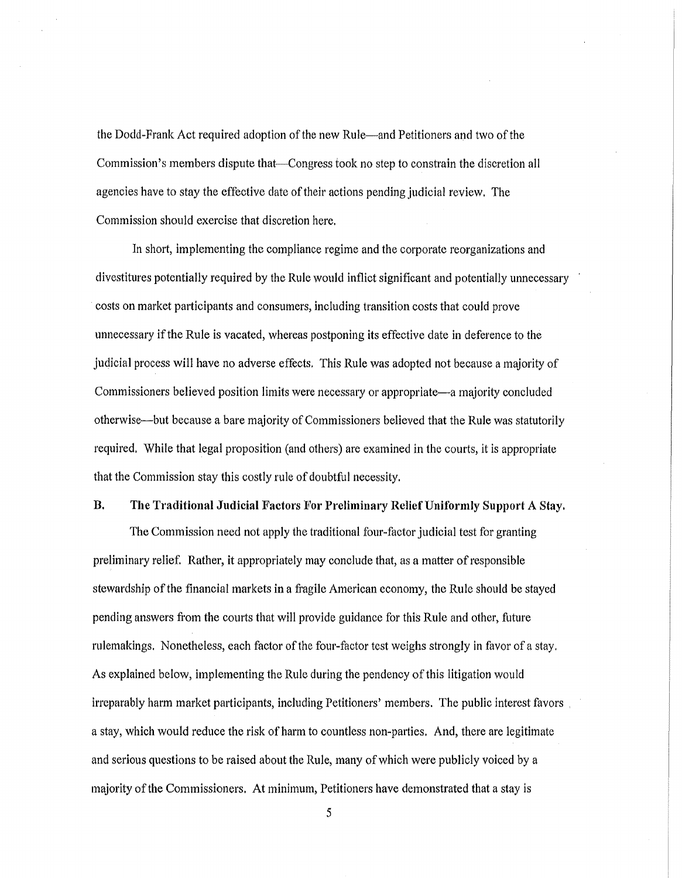the Dodd-Frank Act required adoption of the new Rule—and Petitioners and two of the Commission's members dispute that-Congress took no step to constrain the discretion all agencies have to stay the effective date oftheir actions pending judicial review, The Commission should exercise that discretion here,

In short, implementing the compliance regime and the corporate reorganizations and divestitures potentially required by the Rule would inflict significant and potentially unnecessary costs on market participants and consumers, including transition costs that could prove unnecessary ifthe Rule is vacated, whereas postponing its effective date in deference to the judicial process will have no adverse effects, This Rule was adopted not because a majority of Commissioners believed position limits were necessary or appropriate—a majority concluded otherwise—but because a bare majority of Commissioners believed that the Rule was statutorily required, While that legal proposition (and others) are examined in the courts, it is appropriate that the Commission stay this costly rule of doubtful necessity.

### B. The Traditional Judicial Factors For Preliminary Relief Uniformly Support A Stay.

The Commission need not apply the traditional four-factor judicial test for granting preliminary relief. Rather, it appropriately may conclude that, as a matter ofresponsible stewardship of the financial markets in a fragile American economy, the Rule should be stayed pending answers from the courts that will provide guidance for this Rule and other, future rulemakings. Nonetheless, each factor of the four-factor test weighs strongly in favor of a stay. As explained below, implementing the Rule during the pendency of this litigation would interest favors including Petitioners' members. The public interest favors, a stay, which would reduce the risk of harm to countless non-parties. And, there are legitimate and serious questions to be raised about the Rule, many ofwhich were publicly voiced by a majority of the Commissioners. At minimum, Petitioners have demonstrated that a stay is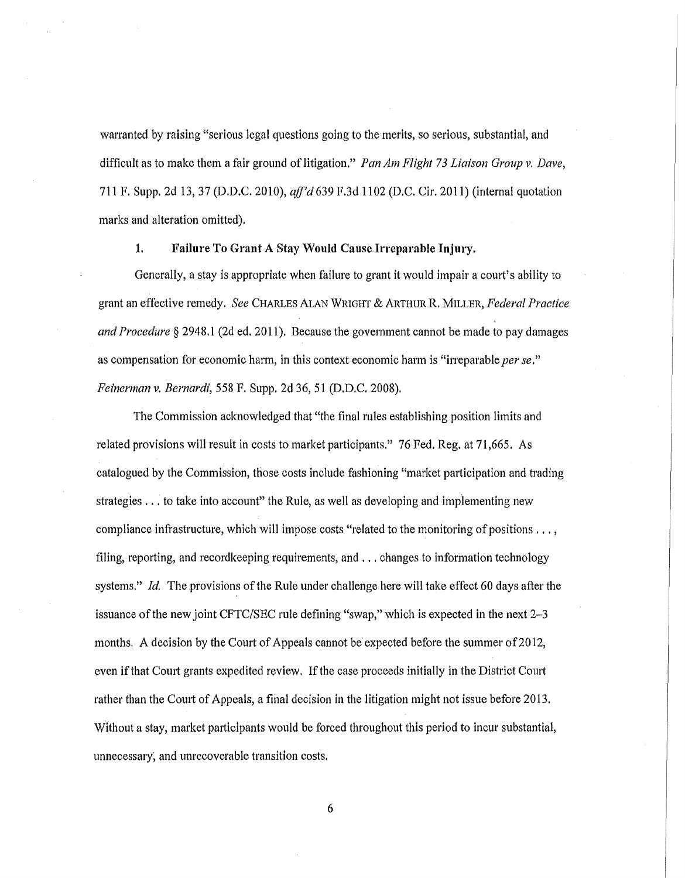warranted by raising "serious legal questions going to the merits, so serious, substantial, and difficult as to make them a fair ground oflitigation." *Pan Am Flight* 73 *Liaison Group* v, *Dave,* 711 F. Supp. 2d 13,37 (D.D.C. 2010), *aff'd* 639 F.3d 1102 (D.C. Cir. 2011) (internal quotation marks and alteration omitted).

#### 1. Failure To Grant A Stay Would CauseIrreparable Injury.

Generally, a stay is appropriate when failure to grant it would impair a court's ability to grant an effective remedy. *See* CHARLES ALAN WRIGHT & ARTHUR R. MILLER, *Federal Practice and Procedure* § 2948.1 (2d ed. 2011). Because the government cannot be made to pay damages as compensation for economic harm, in this context economic harm is "irreparable *perse." Feinerman* v. *Bernardi,* 558 F. Supp. 2d 36, 51 (D.D.C. 2008).

The Commission acknowledged that "the final rules establishing position limits and related provisions will result in costs to market participants." 76 Fed. Reg. at 71,665. As catalogued by the Commission, those costs include fashioning "market participation and trading strategies ... to take into account" the Rule, as well as developing and implementing new compliance infrastructure, which will impose costs "related to the monitoring of positions , .. , filing, reporting, and recordkeeping requirements, and ... changes to information technology systems." *Id.* The provisions of the Rule under challenge here will take effect 60 days after the issuance of the new joint CFTC/SEC rule defining "swap," which is expected in the next  $2-3$ months. A decision by the Court of Appeals cannot be expected before the summer of 2012, even if that Court grants expedited review. If the case proceeds initially in the District Court rather than the Court of Appeals, a final decision in the litigation might not issue before 2013. Without a stay, market participants would be forced throughout this period to incur substantial, unnecessary, and unrecoverable transition costs.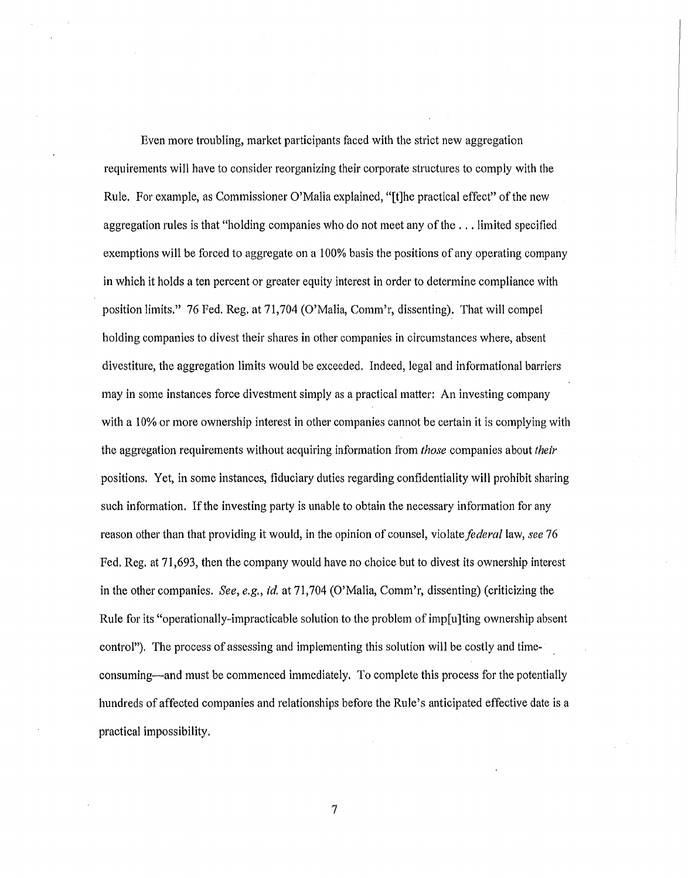Even more troubling, market participants faced with the strict new aggregation requirements will have to consider reorganizing their corporate structures to comply with the Rule. For example, as Commissioner O'Malia explained, "[t]he practical effect" ofthe new aggregation rules is that "holding companies who do not meet any ofthe ... limited specified exemptions will be forced to aggregate on a 100% basis the positions of any operating company in which it holds a ten percent or greater equity interest in order to determine compliance with position limits." 76 Fed. Reg. at 71,704 (O'Malia, Comm'r, dissenting). That will compel holding companies to divest their shares in other companies in circumstances where, absent divestiture, the aggregation limits would be exceeded. Indeed, legal and informational barriers may in some instances force divestment simply as a practical matter: An investing company with a 10% or more ownership interest in other companies cannot be certain it is complying with the aggregation requirements without acquiring information from *those* companies about *their* positions. Yet, in some instances, fiduciary duties regarding confidentiality will prohibit sharing such information. If the investing party is unable to obtain the necessary information for any reason other than that providing it would, in the opinion of counsel, violate *federa/law, see 76* Fed. Reg. at 71,693, then the company would have no choice but to divest its ownership interest in the other companies. *See, e.g., id.* at 71,704 (O'Malia, Comm'r, dissenting) (criticizing the Rule for its "operationally-impracticable solution to the problem of imp[u]ting ownership absent control"). The process of assessing and implementing this solution will be costly and timeconsuming—and must be commenced immediately. To complete this process for the potentially hundreds of affected companies and relationships before the Rule's anticipated effective date is a practical impossibility.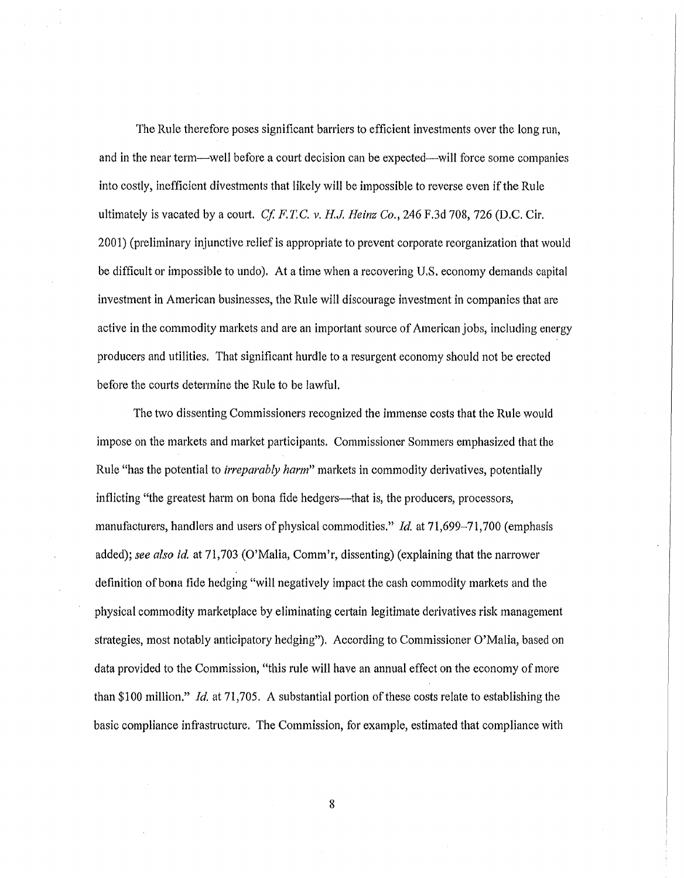The Rule therefore poses significant barriers to efficient investments over the long run, and in the near term-well before a court decision can be expected-will force some companies into costly, inefficient divestments that likely will be impossible to reverse even ifthe Rule ultimately is vacated by a court. *Cf. F.T.C.*  $\nu$ . *H.J. Heinz Co.*, 246 F.3d 708, 726 (D.C. Cir. 2001) (preliminary injunctive relief is appropriate to prevent corporate reorganization that would be difficult or impossible to undo). At a time when a recovering U,S, economy demands capital investment in American businesses, the Rule will discourage investment in companies that are active in the commodity markets and are an important source of American jobs, including energy producers and utilities. That significant hurdle to a resurgent economy should not be erected before the courts determine the Rule to be lawful.

The two dissenting Commissioners recognized the immense costs that the Rule would impose on the markets and market participants. Commissioner Sommers emphasized that the Rule "has the potential to *irreparably harm"* markets in commodity derivatives, potentially inflicting "the greatest harm on bona fide hedgers—that is, the producers, processors, manufacturers, handlers and users of physical commodities." *Id.* at 71,699-71,700 (emphasis added); *see also* id. at 71,703 (O'Malia, Comm'r, dissenting) (explaining that the narrower definition of bona fide hedging "will negatively impact the cash commodity markets and the physical commodity marketplace by eliminating certain legitimate derivatives risk management strategies, most notably anticipatory hedging"). According to Commissioner O'Malia, based on data provided to the Commission, "this rule will have an annual effect on the economy of more than \$100 million." *Id.* at 71,705. A substantial portion of these costs relate to establishing the basic compliance infrastructure. The Commission, for example, estimated that compliance with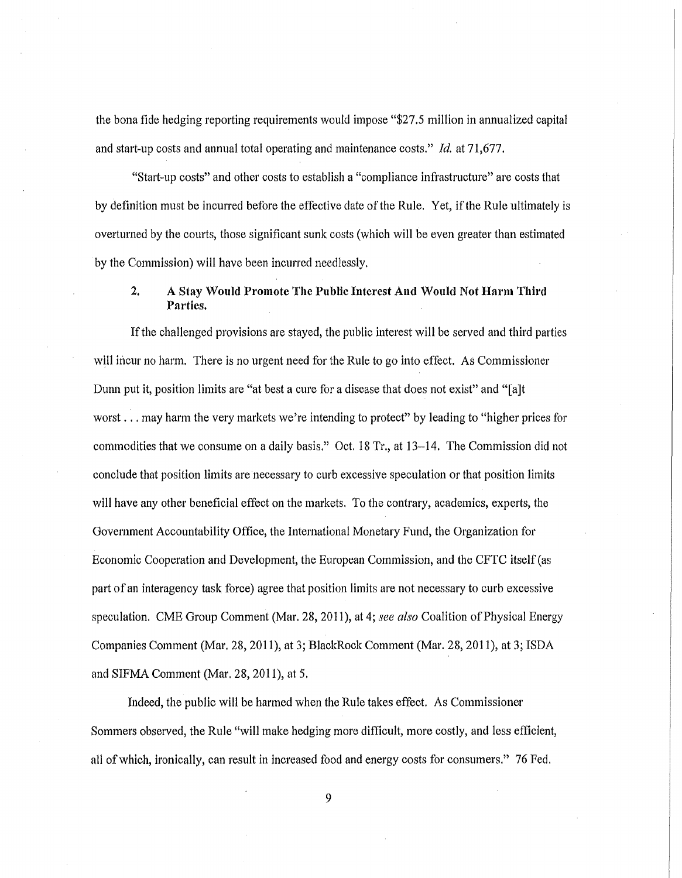the bona fide hedging reporting requirements would impose "\$27.5 million in annualized capital and start-up costs and annual total operating and maintenance costs." *Id.* at 71,677.

"Start-up costs" and other costs to establish a "compliance infrastructure" are costs that by definition must be incurred before the effective date ofthe Rule. Yet, ifthe Rule ultimately is overturned by the courts, those significant sunk costs (which will be even greater than estimated by the Commission) will have been incurred needlessly.

## 2. A Stay Would Promote The Public Interest And Would Not Harm Third Parties.

If the challenged provisions are stayed, the public interest will be served and third parties will incur no harm. There is no urgent need for the Rule to go into effect. As Commissioner Dunn put it, position limits are "at best a cure for a disease that does not exist" and "[a]t worst ... may harm the very markets we're intending to protect" by leading to "higher prices for commodities that we consume on a daily basis." Oct. 18 Tr., at 13-14. The Commission did not conclude that position limits are necessary to curb excessive speculation or that position limits will have any other beneficial effect on the markets. To the contrary, academics, experts, the Government Accountability Office, the International Monetary Fund, the Organization for Economic Cooperation and Development, the European Commission, and the CFTC itself(as part of an interagency task force) agree that position limits are not necessary to curb excessive speculation. CME Group Comment (Mar. 28, 2011), at 4; *see also* Coalition ofPhysical Energy Companies Comment (Mar. 28, 2011), at 3; BlackRock Comment (Mar. 28, 2011), at 3; ISDA and SIFMA Comment (Mar. 28, 2011), at 5.

Indeed, the public will be harmed when the Rule takes effect. As Commissioner Sommers observed, the Rule "will make hedging more difficult, more costly, and less efficient, all ofwhich, ironically, can result in increased food and energy costs for consumers." 76 Fed.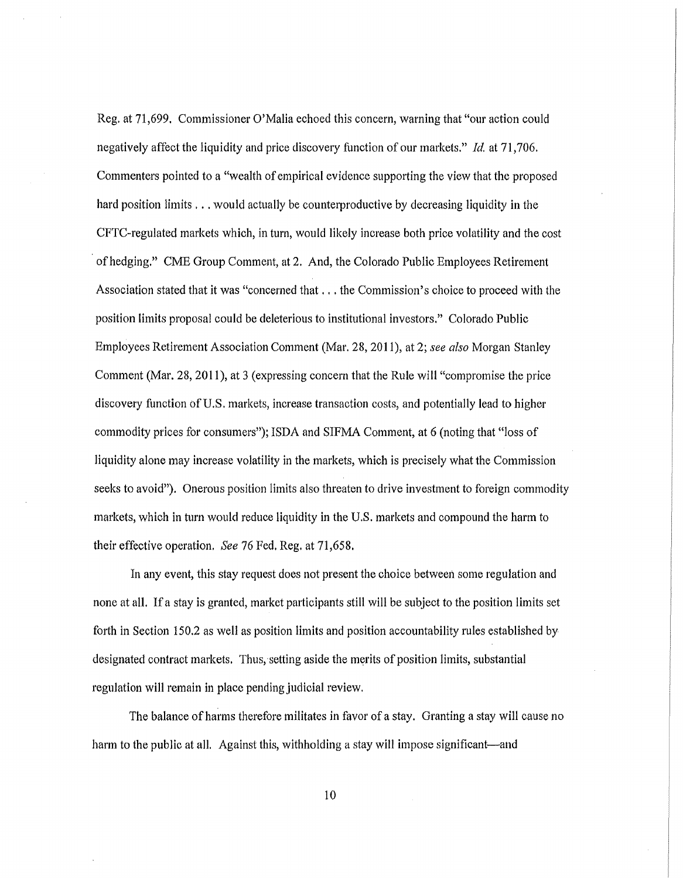Reg. at 71,699. Commissioner O'Malia echoed this concern, warning that "our action could negatively affect the liquidity and price discovery function of our markets." *ld.* at 71,706. Commenters pointed to a "wealth of empirical evidence supporting the view that the proposed hard position limits . . . would actually be counterproductive by decreasing liquidity in the CFTC-regulated markets which, in turn, would likely increase both price volatility and the cost of hedging." CME Group Comment, at 2. And, the Colorado Public Employees Retirement Association stated that it was "concerned that ... the Commission's choice to proceed with the position limits proposal could be deleterious to institutional investors." Colorado Public Employees Retirement Association Comment (Mar. 28, 2011), at 2; *see also* Morgan Stanley Comment (Mar. 28, 2011), at 3 (expressing concern that the Rule will "compromise the price discovery function of U.S. markets, increase transaction costs, and potentially lead to higher commodity prices for consumers))); ISDA and SIFMA Comment, at 6 (noting that "loss of liquidity alone may increase volatility in the markets, which is precisely what the Commission seeks to avoid"). Onerous position limits also threaten to drive investment to foreign commodity markets, which in turn would reduce liquidity in the U.S. markets and compound the harm to their effective operation. *See* 76 Fed. Reg. at 71,658.

In any event, this stay request does not present the choice between some regulation and none at all. If a stay is granted, market participants still will be subject to the position limits set forth in Section 150.2 as well as position limits and position accountability rules established by designated contract markets. Thus, setting aside the merits of position limits, substantial regulation will remain in place pending judicial review.

The balance of harms therefore militates in favor of a stay. Granting a stay will cause no harm to the public at all. Against this, withholding a stay will impose significant-and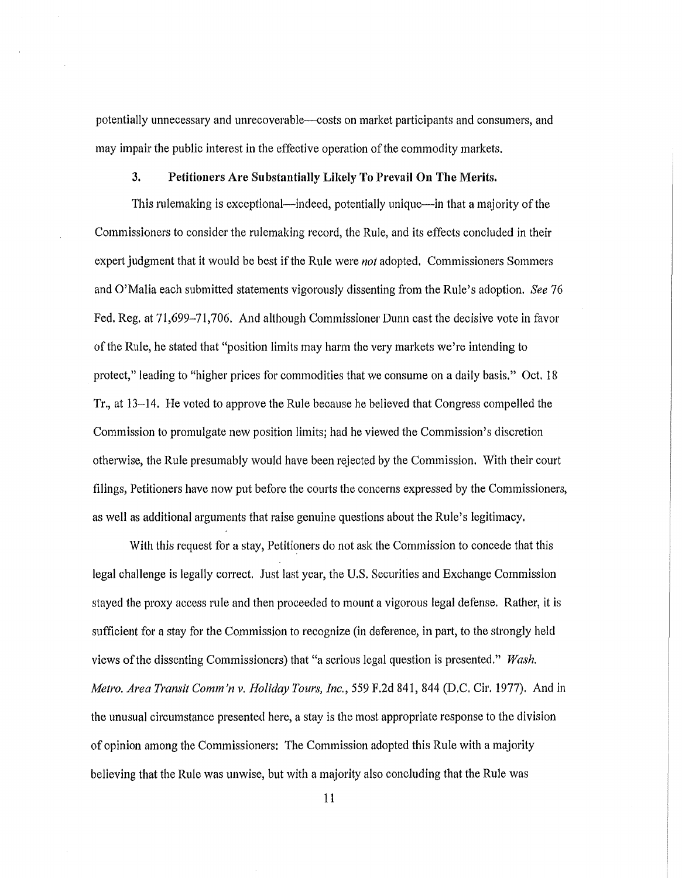potentially unnecessary and unrecoverable--costs on market participants and consumers, and may impair the public interest in the effective operation ofthe commodity markets.

### 3. Petitioners Are Substantially Likely To Prevail On The Merits.

This rulemaking is exceptional—indeed, potentially unique—in that a majority of the Commissioners to consider the rulemaking record, the Rule, and its effects concluded in their expert judgment that it would be best ifthe Rule were *not* adopted. Commissioners Sommers and O'Malia each submitted statements vigorously dissenting from the Rule's adoption. *See 76* Fed. Reg. at 71,699-71,706. And although Commissioner Dunn cast the decisive vote in favor ofthe Rule, he stated that "position limits may harm the very markets we're intending to protect," leading to "higher prices for commodities that we consume on a daily basis." Oct. 18 Tr., at 13-14. He voted to approve the Rule because he believed that Congress compelled the Commission to promulgate new position limits; had he viewed the Commission's discretion otherwise, the Rule presumably would have been rejected by the Commission. With their court filings, Petitioners have now put before the courts the concerns expressed by the Commissioners, as well as additional arguments that raise genuine questions about the Rule's legitimacy.

With this request for a stay, Petitioners do not ask the Commission to concede that this legal challenge is legally correct. Just last year, the U.S. Securities and Exchange Commission stayed the proxy access rule and then proceeded to mount a vigorous legal defense. Rather, it is sufficient for a stay for the Commission to recognize (in deference, in part, to the strongly held views ofthe dissenting Commissioners) that "a serious legal question is presented." *Wash. Metro. Area Transit Comm'n* v. *Holiday Tours, Inc.,* 559 F.2d 841,844 (D.C. Cir. 1977). And in the unusual circumstance presented here, a stay is the most appropriate response to the division of opinion among the Commissioners: The Commission adopted this Rule with a majority believing that the Rule was unwise, but with a majority also concluding that the Rule was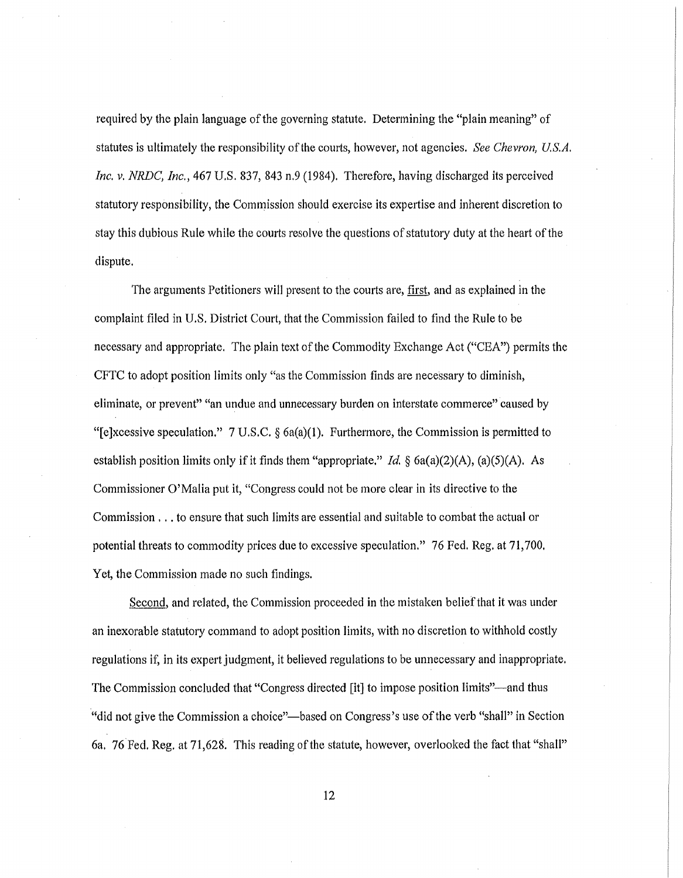required by the plain language of the governing statute. Determining the "plain meaning" of statutes is ultimately the responsibility of the courts, however, not agencies. *See Chevron, U.S.A. Inc. v. NRDC, Inc.,* 467 U.S. 837, 843 n.9 (1984). Therefore, having discharged its perceived statutory responsibility, the Commission should exercise its expertise and inherent discretion to stay this dubious Rule while the courts resolve the questions of statutory duty at the heart of the dispute.

The arguments Petitioners will present to the courts are, first, and as explained in the complaint filed in U.S. District Court, that the Commission failed to find the Rule to be necessary and appropriate. The plain text ofthe Commodity Exchange Act ("CEA") permits the CFTC to adopt position limits only "as the Commission finds are necessary to diminish, eliminate, or prevent" "an undue and unnecessary burden on interstate commerce" caused by "[e]xcessive speculation." 7 U.S.C.  $\S$  6a(a)(1). Furthermore, the Commission is permitted to establish position limits only if it finds them "appropriate." *Id.* §  $6a(a)(2)(A)$ ,  $(a)(5)(A)$ . As Commissioner O'Malia put it, "Congress could not be more clear in its directive to the Commission ... to ensure that such limits are essential and suitable to combat the actual or potential threats to commodity prices due to excessive speculation." 76 Fed. Reg. at 71,700. Yet, the Commission made no such findings.

Second, and related, the Commission proceeded in the mistaken belief that it was under an inexorable statutory command to adopt position limits, with no discretion to withhold costly regulations if, in its expert judgment, it believed regulations to be unnecessary and inappropriate. The Commission concluded that "Congress directed [it] to impose position limits"-and thus "did not give the Commission a choice"-based on Congress's use ofthe verb "shall" in Section 6a. 76 Fed. Reg. at 71,628. This reading of the statute, however, overlooked the fact that "shall"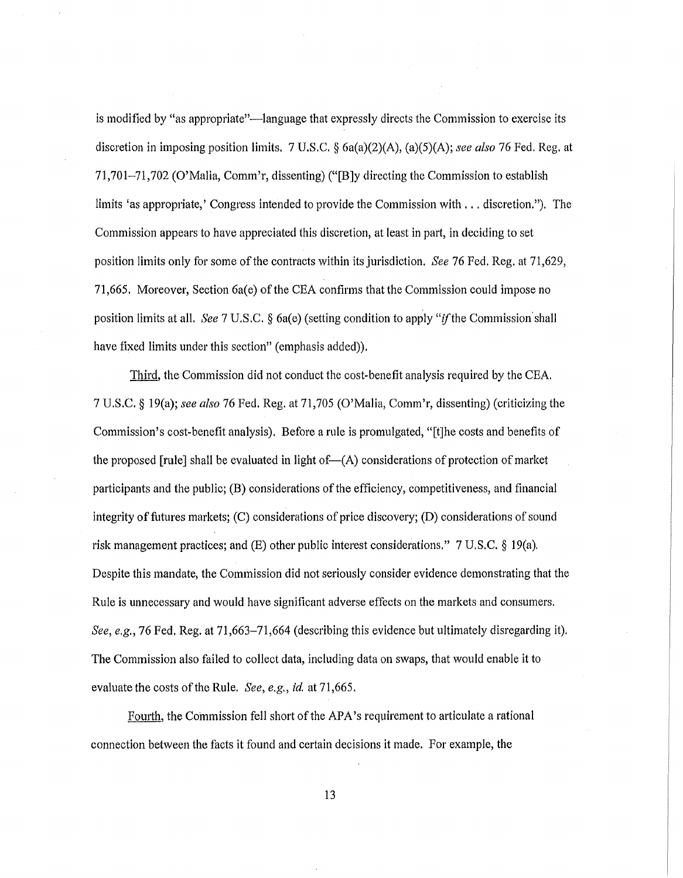is modified by "as appropriate"—language that expressly directs the Commission to exercise its discretion in imposing position limits. 7 U.S.C. § 6a(a)(2)(A), (a)(5)(A); *see also* 76 Fed. Reg. at 71,701-71,702 (O'Malia, Comm'r, dissenting) ("[B]y directing the Commission to establish limits 'as appropriate,' Congress intended to provide the Commission with ... discretion."). The Commission appears to have appreciated this discretion, at least in part, in deciding to set position limits only for some ofthe contracts within its jurisdiction. *See* 76 Fed. Reg. at 71,629, 71,665. Moreover, Section 6a(e) of the CEA confirms that the Commission could impose no position limits at all. *See* 7 U.S.C. § 6a(e) (setting condition to apply "*if* the Commission shall have fixed limits under this section" (emphasis added)).

Third, the Commission did not conduct the cost-benefit analysis required by the CEA. 7 U.S.C. § 19(a); see also 76 Fed. Reg. at 71,705 (O'Malia, Comm'r, dissenting) (criticizing the Commission's cost-benefit analysis). Before a rule is promulgated, "[t]he costs and benefits of the proposed [rule] shall be evaluated in light of- $(A)$  considerations of protection of market participants and the public;  $(B)$  considerations of the efficiency, competitiveness, and financial integrity of futures markets;  $(C)$  considerations of price discovery;  $(D)$  considerations of sound risk management practices; and (E) other public interest considerations." 7 U.S.C. § 19(a). Despite this mandate, the Commission did not seriously consider evidence demonstrating that the Rule is unnecessary and would have significant adverse effects on the markets and consumers. *See, e.g.*, 76 Fed. Reg. at 71,663–71,664 (describing this evidence but ultimately disregarding it). The Commission also failed to collect data, including data on swaps, that would enable it to evaluate the costs of the Rule. *See, e.g., id.* at 71,665.

Fourth, the Commission fell short of the APA's requirement to articulate a rational connection between the facts it found and certain decisions it made. For example, the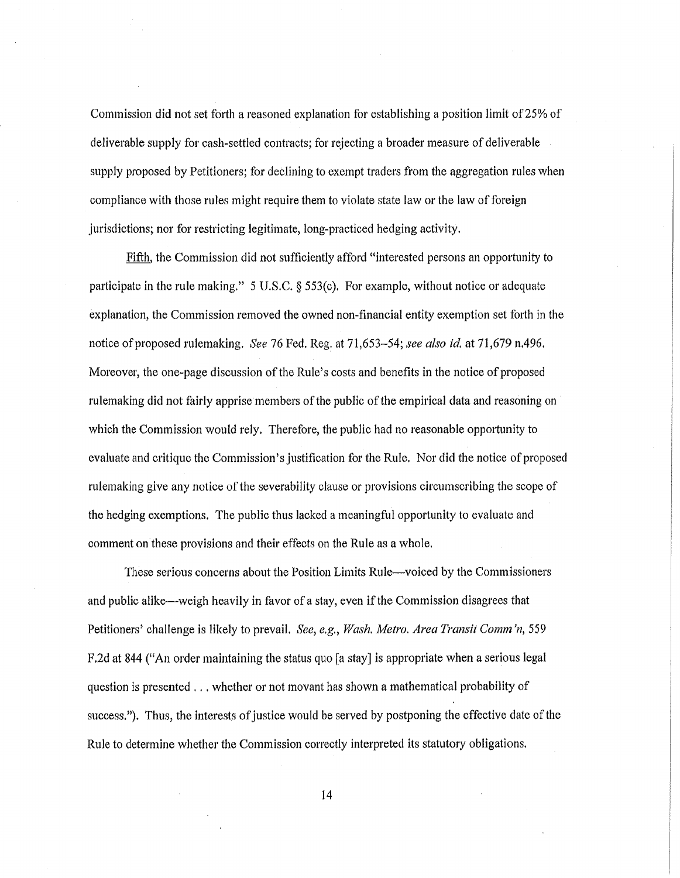Commission did not set forth a reasoned explanation for establishing a position limit of25% of deliverable supply for cash-settled contracts; for rejecting a broader measure of deliverable supply proposed by Petitioners; for declining to exempt traders from the aggregation rules when compliance with those rules might require them to violate state law or the law of foreign jurisdictions; nor for restricting legitimate, long-practiced hedging activity.

Fifth, the Commission did not sufficiently afford "interested persons an opportunity to participate in the rule making." 5 U.S.C. § 553(c). For example, without notice or adequate explanation, the Commission removed the owned non-financial entity exemption set forth in the notice ofproposed rulemaking. *See* 76 Fed. Reg. at 71,653-54; *see also id.* at 71,679 n.496. Moreover, the one-page discussion of the Rule's costs and benefits in the notice of proposed rulemaking did not fairly apprise members of the public of the empirical data and reasoning on which the Commission would rely. Therefore, the public had no reasonable opportunity to evaluate and critique the Commission's justification for the Rule. Nor did the notice of proposed rulemaking give any notice of the severability clause or provisions circumscribing the scope of the hedging exemptions. The public thus lacked a meaningful opportunity to evaluate and comment on these provisions and their effects on the Rule as a whole.

These serious concerns about the Position Limits Rule-voiced by the Commissioners and public alike—weigh heavily in favor of a stay, even if the Commission disagrees that Petitioners' challenge is likely to prevail. *See, e.g., Wash. Metro. Area Transit Comm 'n, 559* F.2d at 844 ("An order maintaining the status quo [a stay] is appropriate when a serious legal question is presented ... whether or not movant has shown a mathematical probability of success."). Thus, the interests of justice would be served by postponing the effective date of the Rule to determine whether the Commission correctly interpreted its statutory obligations.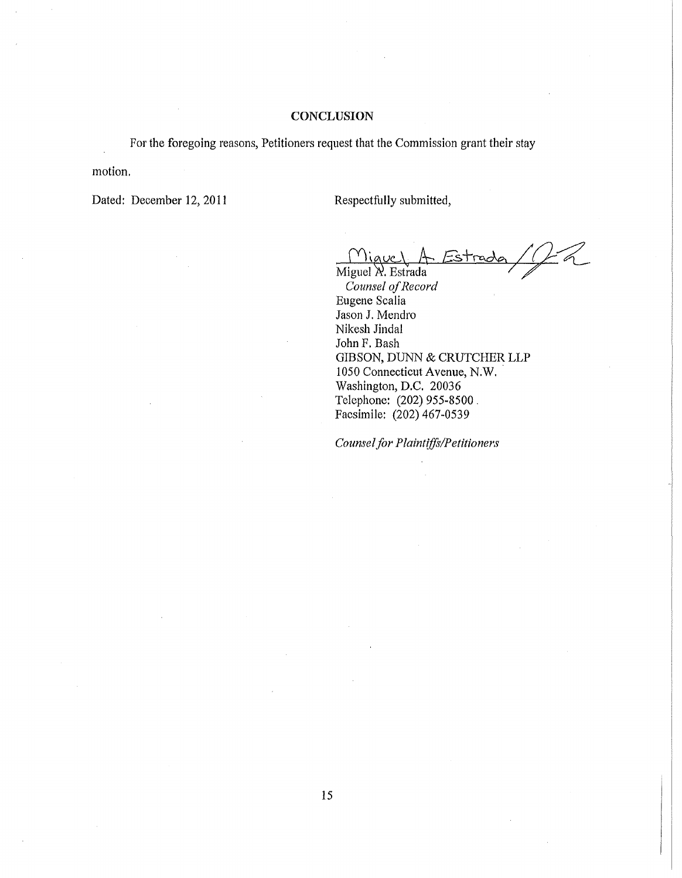### **CONCLUSION**

For the foregoing reasons, Petitioners request that the Commission grant their stay

motion.

Dated: December 12, 2011

Respectfully submitted,

 $\frac{Y\setminus q}{Miguel}$  A, Estrada be *5+rc.o\e.*<sup>7</sup>  $\alpha$ 

**Counsel** of Record Eugene Scalia Jason J. Mendro Nikesh Jindal John F. Bash GIBSON, DUNN & CRUTCHER LLP <sup>1050</sup> Connecticut Avenue, N.W.. Washington, D.C. 20036 Telephone: (202) 955-8500 . Facsimile: (202) 467-0539

*Counselfor Plaintifft/Petitioners*